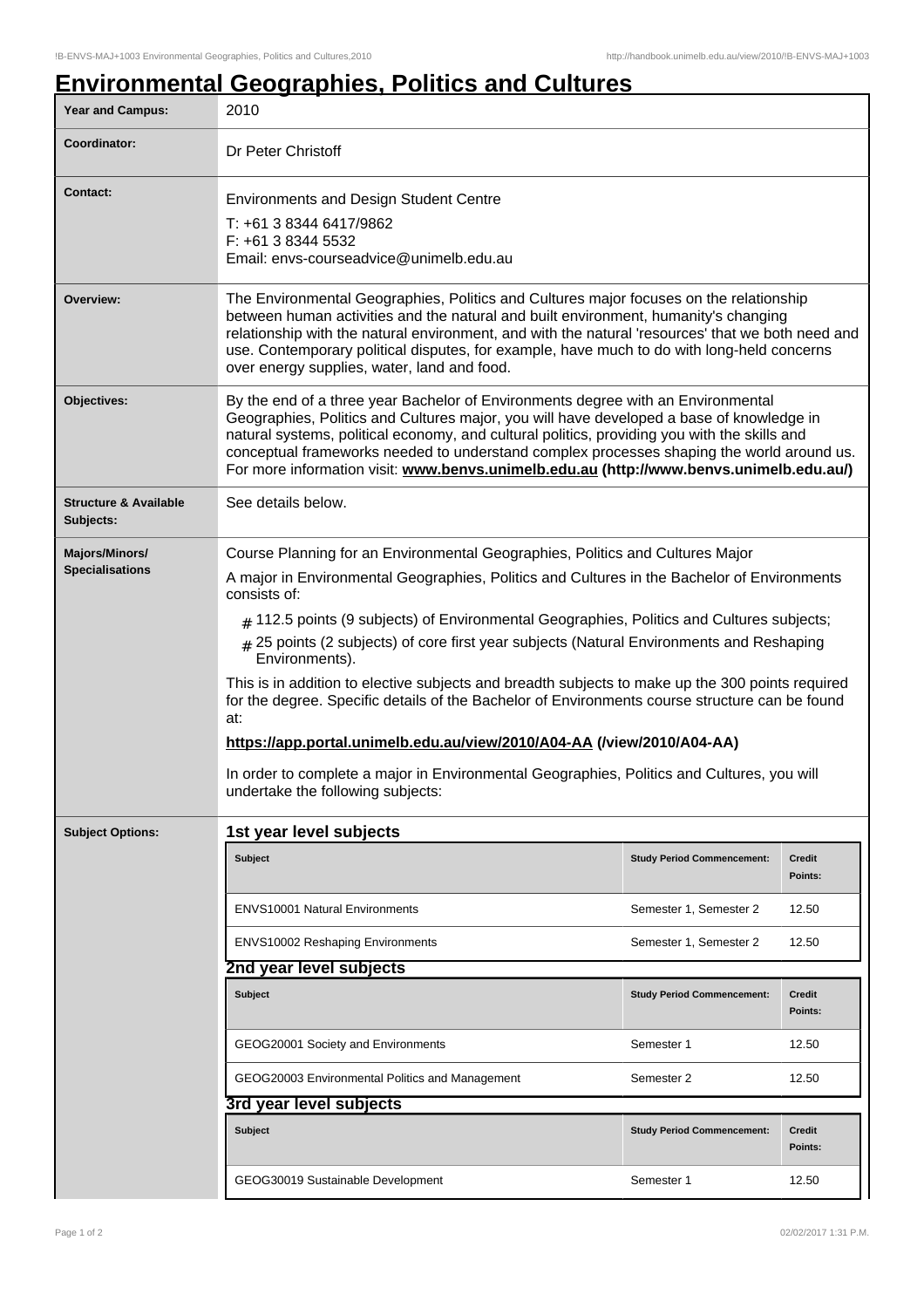# **Environmental Geographies, Politics and Cultures**

| <b>Year and Campus:</b>                       | 2010                                                                                                                                                                                                                                                                                                                                                                                                                                                                                                                                                                                                                                                                                                                                                                                                                                      |                                   |                          |  |
|-----------------------------------------------|-------------------------------------------------------------------------------------------------------------------------------------------------------------------------------------------------------------------------------------------------------------------------------------------------------------------------------------------------------------------------------------------------------------------------------------------------------------------------------------------------------------------------------------------------------------------------------------------------------------------------------------------------------------------------------------------------------------------------------------------------------------------------------------------------------------------------------------------|-----------------------------------|--------------------------|--|
| Coordinator:                                  | Dr Peter Christoff                                                                                                                                                                                                                                                                                                                                                                                                                                                                                                                                                                                                                                                                                                                                                                                                                        |                                   |                          |  |
| <b>Contact:</b>                               | <b>Environments and Design Student Centre</b><br>T: +61 3 8344 6417/9862<br>F: +61 3 8344 5532<br>Email: envs-courseadvice@unimelb.edu.au                                                                                                                                                                                                                                                                                                                                                                                                                                                                                                                                                                                                                                                                                                 |                                   |                          |  |
| Overview:                                     | The Environmental Geographies, Politics and Cultures major focuses on the relationship<br>between human activities and the natural and built environment, humanity's changing<br>relationship with the natural environment, and with the natural 'resources' that we both need and<br>use. Contemporary political disputes, for example, have much to do with long-held concerns<br>over energy supplies, water, land and food.                                                                                                                                                                                                                                                                                                                                                                                                           |                                   |                          |  |
| Objectives:                                   | By the end of a three year Bachelor of Environments degree with an Environmental<br>Geographies, Politics and Cultures major, you will have developed a base of knowledge in<br>natural systems, political economy, and cultural politics, providing you with the skills and<br>conceptual frameworks needed to understand complex processes shaping the world around us.<br>For more information visit: www.benvs.unimelb.edu.au (http://www.benvs.unimelb.edu.au/)                                                                                                                                                                                                                                                                                                                                                                      |                                   |                          |  |
| <b>Structure &amp; Available</b><br>Subjects: | See details below.                                                                                                                                                                                                                                                                                                                                                                                                                                                                                                                                                                                                                                                                                                                                                                                                                        |                                   |                          |  |
| Majors/Minors/<br><b>Specialisations</b>      | Course Planning for an Environmental Geographies, Politics and Cultures Major<br>A major in Environmental Geographies, Politics and Cultures in the Bachelor of Environments<br>consists of:<br>$#$ 112.5 points (9 subjects) of Environmental Geographies, Politics and Cultures subjects;<br>$_{\#}$ 25 points (2 subjects) of core first year subjects (Natural Environments and Reshaping<br>Environments).<br>This is in addition to elective subjects and breadth subjects to make up the 300 points required<br>for the degree. Specific details of the Bachelor of Environments course structure can be found<br>at:<br>https://app.portal.unimelb.edu.au/view/2010/A04-AA (/view/2010/A04-AA)<br>In order to complete a major in Environmental Geographies, Politics and Cultures, you will<br>undertake the following subjects: |                                   |                          |  |
| <b>Subject Options:</b>                       | 1st year level subjects                                                                                                                                                                                                                                                                                                                                                                                                                                                                                                                                                                                                                                                                                                                                                                                                                   |                                   |                          |  |
|                                               | Subject                                                                                                                                                                                                                                                                                                                                                                                                                                                                                                                                                                                                                                                                                                                                                                                                                                   | <b>Study Period Commencement:</b> | Credit<br>Points:        |  |
|                                               | <b>ENVS10001 Natural Environments</b>                                                                                                                                                                                                                                                                                                                                                                                                                                                                                                                                                                                                                                                                                                                                                                                                     | Semester 1, Semester 2            | 12.50                    |  |
|                                               | <b>ENVS10002 Reshaping Environments</b>                                                                                                                                                                                                                                                                                                                                                                                                                                                                                                                                                                                                                                                                                                                                                                                                   | Semester 1, Semester 2            | 12.50                    |  |
|                                               | 2nd year level subjects                                                                                                                                                                                                                                                                                                                                                                                                                                                                                                                                                                                                                                                                                                                                                                                                                   |                                   |                          |  |
|                                               | <b>Subject</b>                                                                                                                                                                                                                                                                                                                                                                                                                                                                                                                                                                                                                                                                                                                                                                                                                            | <b>Study Period Commencement:</b> | <b>Credit</b><br>Points: |  |
|                                               | GEOG20001 Society and Environments                                                                                                                                                                                                                                                                                                                                                                                                                                                                                                                                                                                                                                                                                                                                                                                                        | Semester 1                        | 12.50                    |  |
|                                               | GEOG20003 Environmental Politics and Management                                                                                                                                                                                                                                                                                                                                                                                                                                                                                                                                                                                                                                                                                                                                                                                           | Semester 2                        | 12.50                    |  |
|                                               | 3rd year level subjects                                                                                                                                                                                                                                                                                                                                                                                                                                                                                                                                                                                                                                                                                                                                                                                                                   |                                   |                          |  |
|                                               | Subject                                                                                                                                                                                                                                                                                                                                                                                                                                                                                                                                                                                                                                                                                                                                                                                                                                   | <b>Study Period Commencement:</b> | Credit<br>Points:        |  |
|                                               | GEOG30019 Sustainable Development                                                                                                                                                                                                                                                                                                                                                                                                                                                                                                                                                                                                                                                                                                                                                                                                         | Semester 1                        | 12.50                    |  |